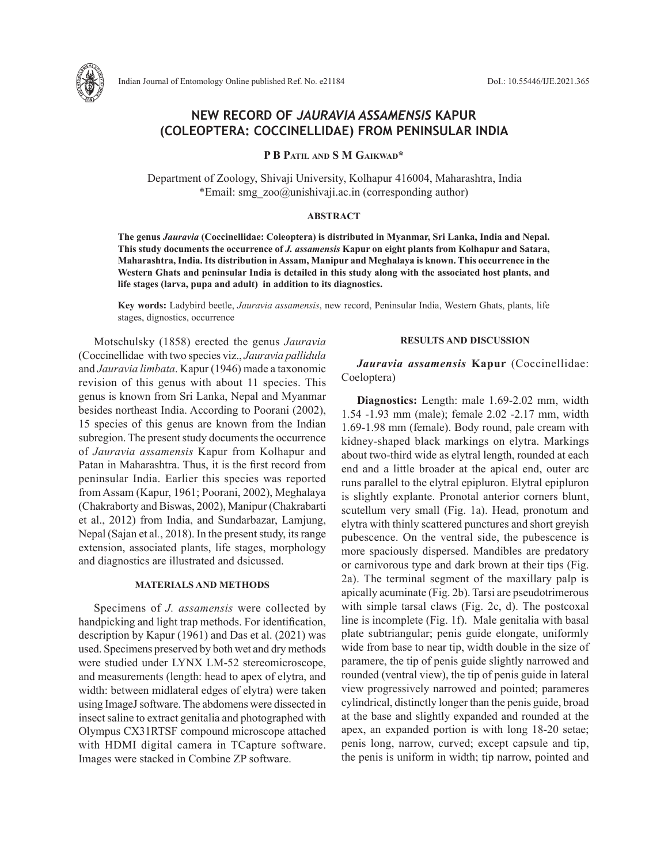

# **NEW RECORD OF** *JAURAVIA ASSAMENSIS* **KAPUR (COLEOPTERA: COCCINELLIDAE) FROM PENINSULAR INDIA**

**P B Patil and S M Gaikwad\***

Department of Zoology, Shivaji University, Kolhapur 416004, Maharashtra, India \*Email: smg\_zoo@unishivaji.ac.in (corresponding author)

#### **ABSTRACT**

**The genus** *Jauravia* **(Coccinellidae: Coleoptera) is distributed in Myanmar, Sri Lanka, India and Nepal. This study documents the occurrence of** *J. assamensis* **Kapur on eight plants from Kolhapur and Satara, Maharashtra, India. Its distribution in Assam, Manipur and Meghalaya is known. This occurrence in the Western Ghats and peninsular India is detailed in this study along with the associated host plants, and life stages (larva, pupa and adult) in addition to its diagnostics.** 

**Key words:** Ladybird beetle, *Jauravia assamensis*, new record, Peninsular India, Western Ghats, plants, life stages, dignostics, occurrence

Motschulsky (1858) erected the genus *Jauravia* (Coccinellidae with two species viz., *Jauravia pallidula* and *Jauravia limbata*. Kapur (1946) made a taxonomic revision of this genus with about 11 species. This genus is known from Sri Lanka, Nepal and Myanmar besides northeast India. According to Poorani (2002), 15 species of this genus are known from the Indian subregion. The present study documents the occurrence of *Jauravia assamensis* Kapur from Kolhapur and Patan in Maharashtra. Thus, it is the first record from peninsular India. Earlier this species was reported from Assam (Kapur, 1961; Poorani, 2002), Meghalaya (Chakraborty and Biswas, 2002), Manipur (Chakrabarti et al., 2012) from India, and Sundarbazar, Lamjung, Nepal (Sajan et al*.*, 2018). In the present study, its range extension, associated plants, life stages, morphology and diagnostics are illustrated and dsicussed.

### **MATERIALS AND METHODS**

Specimens of *J. assamensis* were collected by handpicking and light trap methods. For identification, description by Kapur (1961) and Das et al. (2021) was used. Specimens preserved by both wet and dry methods were studied under LYNX LM-52 stereomicroscope, and measurements (length: head to apex of elytra, and width: between midlateral edges of elytra) were taken using ImageJ software. The abdomens were dissected in insect saline to extract genitalia and photographed with Olympus CX31RTSF compound microscope attached with HDMI digital camera in TCapture software. Images were stacked in Combine ZP software.

## **RESULTS AND DISCUSSION**

*Jauravia assamensis* **Kapur** (Coccinellidae: Coeloptera)

**Diagnostics:** Length: male 1.69-2.02 mm, width 1.54 -1.93 mm (male); female 2.02 -2.17 mm, width 1.69-1.98 mm (female). Body round, pale cream with kidney-shaped black markings on elytra. Markings about two-third wide as elytral length, rounded at each end and a little broader at the apical end, outer arc runs parallel to the elytral epipluron. Elytral epipluron is slightly explante. Pronotal anterior corners blunt, scutellum very small (Fig. 1a). Head, pronotum and elytra with thinly scattered punctures and short greyish pubescence. On the ventral side, the pubescence is more spaciously dispersed. Mandibles are predatory or carnivorous type and dark brown at their tips (Fig. 2a). The terminal segment of the maxillary palp is apically acuminate (Fig. 2b). Tarsi are pseudotrimerous with simple tarsal claws (Fig. 2c, d). The postcoxal line is incomplete (Fig. 1f). Male genitalia with basal plate subtriangular; penis guide elongate, uniformly wide from base to near tip, width double in the size of paramere, the tip of penis guide slightly narrowed and rounded (ventral view), the tip of penis guide in lateral view progressively narrowed and pointed; parameres cylindrical, distinctly longer than the penis guide, broad at the base and slightly expanded and rounded at the apex, an expanded portion is with long 18-20 setae; penis long, narrow, curved; except capsule and tip, the penis is uniform in width; tip narrow, pointed and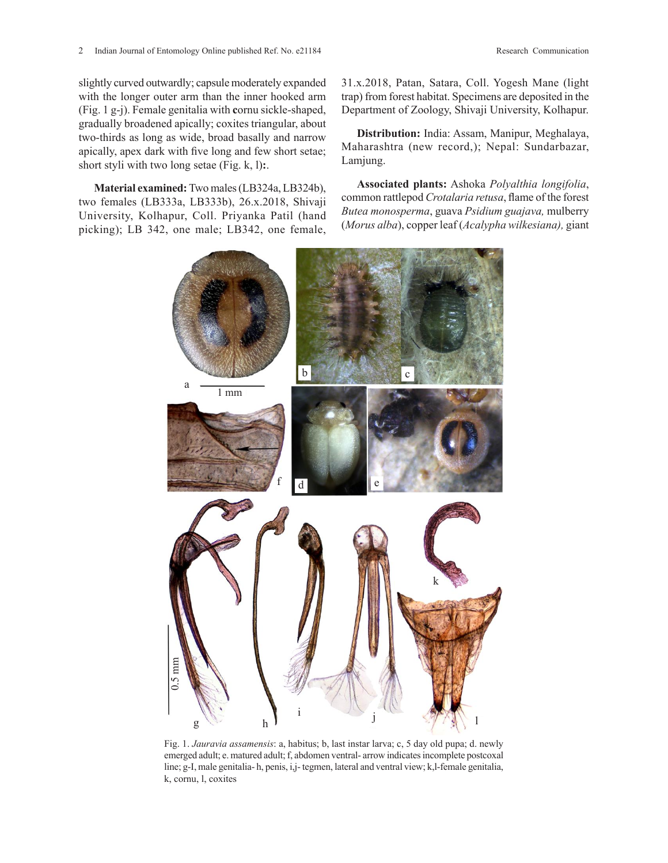slightly curved outwardly; capsule moderately expanded with the longer outer arm than the inner hooked arm (Fig. 1 g-j). Female genitalia with **c**ornu sickle-shaped, gradually broadened apically; coxites triangular, about two-thirds as long as wide, broad basally and narrow apically, apex dark with five long and few short setae;

**Material examined:** Two males (LB324a, LB324b), two females (LB333a, LB333b), 26.x.2018, Shivaji University, Kolhapur, Coll. Priyanka Patil (hand picking); LB 342, one male; LB342, one female,

short styli with two long setae (Fig. k, l)**:**.

31.x.2018, Patan, Satara, Coll. Yogesh Mane (light trap) from forest habitat. Specimens are deposited in the Department of Zoology, Shivaji University, Kolhapur.

**Distribution:** India: Assam, Manipur, Meghalaya, Maharashtra (new record,); Nepal: Sundarbazar, Lamjung.

**Associated plants:** Ashoka *Polyalthia longifolia*, common rattlepod *Crotalaria retusa*, flame of the forest *Butea monosperma*, guava *Psidium guajava,* mulberry (*Morus alba*), copper leaf (*Acalypha wilkesiana),* giant



Fig. 1. *Jauravia assamensis*: a, habitus; b, last instar larva; c, 5 day old pupa; d. newly emerged adult; e. matured adult; f, abdomen ventral- arrow indicates incomplete postcoxal line; g-I, male genitalia- h, penis, i,j- tegmen, lateral and ventral view; k,l-female genitalia, k, cornu, l, coxites